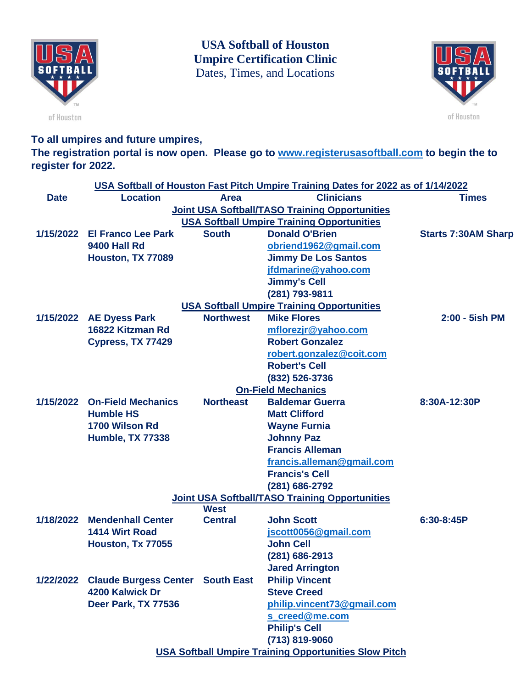

**USA Softball of Houston Umpire Certification Clinic** Dates, Times, and Locations



of Houston

**To all umpires and future umpires,**

**The registration portal is now open. Please go to [www.registerusasoftball.com](http://www.registerusasoftball.com/) to begin the to register for 2022.**

|                                                       | USA Softball of Houston Fast Pitch Umpire Training Dates for 2022 as of 1/14/2022 |                  |                                                              |                            |  |  |  |
|-------------------------------------------------------|-----------------------------------------------------------------------------------|------------------|--------------------------------------------------------------|----------------------------|--|--|--|
| <b>Date</b>                                           | <b>Location</b>                                                                   | <b>Area</b>      | <b>Clinicians</b>                                            | <b>Times</b>               |  |  |  |
| <b>Joint USA Softball/TASO Training Opportunities</b> |                                                                                   |                  |                                                              |                            |  |  |  |
|                                                       | <b>USA Softball Umpire Training Opportunities</b>                                 |                  |                                                              |                            |  |  |  |
|                                                       | 1/15/2022 El Franco Lee Park                                                      | <b>South</b>     | <b>Donald O'Brien</b>                                        | <b>Starts 7:30AM Sharp</b> |  |  |  |
|                                                       | <b>9400 Hall Rd</b>                                                               |                  | obriend1962@gmail.com                                        |                            |  |  |  |
|                                                       | Houston, TX 77089                                                                 |                  | <b>Jimmy De Los Santos</b>                                   |                            |  |  |  |
|                                                       |                                                                                   |                  | jfdmarine@yahoo.com                                          |                            |  |  |  |
|                                                       |                                                                                   |                  | <b>Jimmy's Cell</b>                                          |                            |  |  |  |
|                                                       |                                                                                   |                  | (281) 793-9811                                               |                            |  |  |  |
| <b>USA Softball Umpire Training Opportunities</b>     |                                                                                   |                  |                                                              |                            |  |  |  |
|                                                       | 1/15/2022 AE Dyess Park                                                           | <b>Northwest</b> | <b>Mike Flores</b>                                           | 2:00 - 5ish PM             |  |  |  |
|                                                       | 16822 Kitzman Rd                                                                  |                  | mflorezjr@yahoo.com                                          |                            |  |  |  |
|                                                       | Cypress, TX 77429                                                                 |                  | <b>Robert Gonzalez</b>                                       |                            |  |  |  |
|                                                       |                                                                                   |                  | robert.gonzalez@coit.com                                     |                            |  |  |  |
|                                                       |                                                                                   |                  | <b>Robert's Cell</b>                                         |                            |  |  |  |
|                                                       |                                                                                   |                  | (832) 526-3736                                               |                            |  |  |  |
| <b>On-Field Mechanics</b>                             |                                                                                   |                  |                                                              |                            |  |  |  |
|                                                       | 1/15/2022 On-Field Mechanics                                                      | <b>Northeast</b> | <b>Baldemar Guerra</b>                                       | 8:30A-12:30P               |  |  |  |
|                                                       | <b>Humble HS</b>                                                                  |                  | <b>Matt Clifford</b>                                         |                            |  |  |  |
|                                                       | 1700 Wilson Rd                                                                    |                  | <b>Wayne Furnia</b>                                          |                            |  |  |  |
|                                                       | <b>Humble, TX 77338</b>                                                           |                  | <b>Johnny Paz</b>                                            |                            |  |  |  |
|                                                       |                                                                                   |                  | <b>Francis Alleman</b>                                       |                            |  |  |  |
|                                                       |                                                                                   |                  | francis.alleman@gmail.com                                    |                            |  |  |  |
|                                                       |                                                                                   |                  | <b>Francis's Cell</b>                                        |                            |  |  |  |
|                                                       |                                                                                   |                  | (281) 686-2792                                               |                            |  |  |  |
| <b>Joint USA Softball/TASO Training Opportunities</b> |                                                                                   |                  |                                                              |                            |  |  |  |
|                                                       |                                                                                   | <b>West</b>      |                                                              |                            |  |  |  |
|                                                       | 1/18/2022 Mendenhall Center                                                       | <b>Central</b>   | <b>John Scott</b>                                            | 6:30-8:45P                 |  |  |  |
|                                                       | 1414 Wirt Road                                                                    |                  | jscott0056@gmail.com                                         |                            |  |  |  |
|                                                       | Houston, Tx 77055                                                                 |                  | <b>John Cell</b>                                             |                            |  |  |  |
|                                                       |                                                                                   |                  | (281) 686-2913                                               |                            |  |  |  |
|                                                       |                                                                                   |                  | <b>Jared Arrington</b>                                       |                            |  |  |  |
|                                                       | 1/22/2022 Claude Burgess Center South East                                        |                  | <b>Philip Vincent</b>                                        |                            |  |  |  |
|                                                       | 4200 Kalwick Dr                                                                   |                  | <b>Steve Creed</b>                                           |                            |  |  |  |
|                                                       | Deer Park, TX 77536                                                               |                  | philip.vincent73@gmail.com                                   |                            |  |  |  |
|                                                       |                                                                                   |                  | s creed@me.com                                               |                            |  |  |  |
|                                                       |                                                                                   |                  | <b>Philip's Cell</b>                                         |                            |  |  |  |
|                                                       |                                                                                   |                  | (713) 819-9060                                               |                            |  |  |  |
|                                                       |                                                                                   |                  | <b>USA Softball Umpire Training Opportunities Slow Pitch</b> |                            |  |  |  |